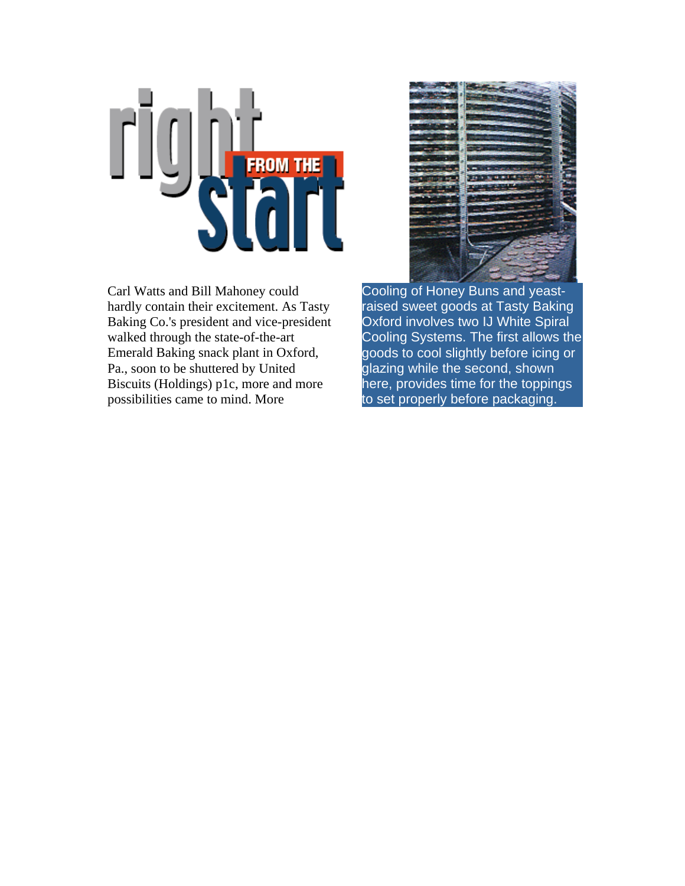

Carl Watts and Bill Mahoney could hardly contain their excitement. As Tasty Baking Co.'s president and vice-president walked through the state-of-the-art Emerald Baking snack plant in Oxford, Pa., soon to be shuttered by United Biscuits (Holdings) p1c, more and more possibilities came to mind. More



Cooling of Honey Buns and yeastraised sweet goods at Tasty Baking Oxford involves two IJ White Spiral Cooling Systems. The first allows the goods to cool slightly before icing or glazing while the second, shown here, provides time for the toppings to set properly before packaging.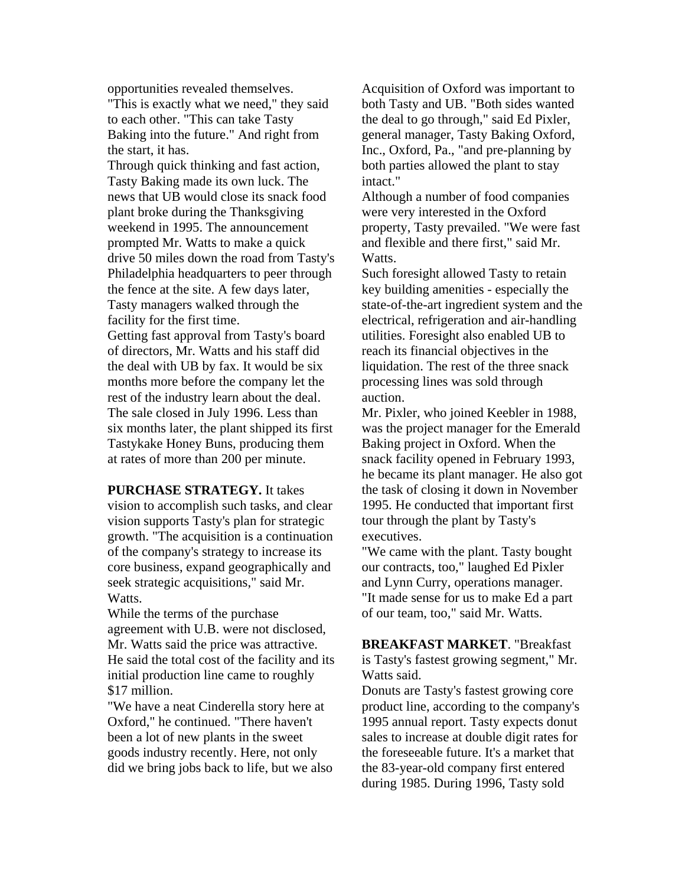opportunities revealed themselves.

"This is exactly what we need," they said to each other. "This can take Tasty Baking into the future." And right from the start, it has.

Through quick thinking and fast action, Tasty Baking made its own luck. The news that UB would close its snack food plant broke during the Thanksgiving weekend in 1995. The announcement prompted Mr. Watts to make a quick drive 50 miles down the road from Tasty's Philadelphia headquarters to peer through the fence at the site. A few days later, Tasty managers walked through the facility for the first time.

Getting fast approval from Tasty's board of directors, Mr. Watts and his staff did the deal with UB by fax. It would be six months more before the company let the rest of the industry learn about the deal. The sale closed in July 1996. Less than six months later, the plant shipped its first Tastykake Honey Buns, producing them at rates of more than 200 per minute.

**PURCHASE STRATEGY.** It takes vision to accomplish such tasks, and clear vision supports Tasty's plan for strategic growth. "The acquisition is a continuation of the company's strategy to increase its core business, expand geographically and seek strategic acquisitions," said Mr. Watts.

While the terms of the purchase agreement with U.B. were not disclosed, Mr. Watts said the price was attractive. He said the total cost of the facility and its initial production line came to roughly \$17 million.

"We have a neat Cinderella story here at Oxford," he continued. "There haven't been a lot of new plants in the sweet goods industry recently. Here, not only did we bring jobs back to life, but we also

Acquisition of Oxford was important to both Tasty and UB. "Both sides wanted the deal to go through," said Ed Pixler, general manager, Tasty Baking Oxford, Inc., Oxford, Pa., "and pre-planning by both parties allowed the plant to stay intact."

Although a number of food companies were very interested in the Oxford property, Tasty prevailed. "We were fast and flexible and there first," said Mr. Watts.

Such foresight allowed Tasty to retain key building amenities - especially the state-of-the-art ingredient system and the electrical, refrigeration and air-handling utilities. Foresight also enabled UB to reach its financial objectives in the liquidation. The rest of the three snack processing lines was sold through auction.

Mr. Pixler, who joined Keebler in 1988, was the project manager for the Emerald Baking project in Oxford. When the snack facility opened in February 1993, he became its plant manager. He also got the task of closing it down in November 1995. He conducted that important first tour through the plant by Tasty's executives.

"We came with the plant. Tasty bought our contracts, too," laughed Ed Pixler and Lynn Curry, operations manager. "It made sense for us to make Ed a part of our team, too," said Mr. Watts.

**BREAKFAST MARKET**. "Breakfast is Tasty's fastest growing segment," Mr. Watts said.

Donuts are Tasty's fastest growing core product line, according to the company's 1995 annual report. Tasty expects donut sales to increase at double digit rates for the foreseeable future. It's a market that the 83-year-old company first entered during 1985. During 1996, Tasty sold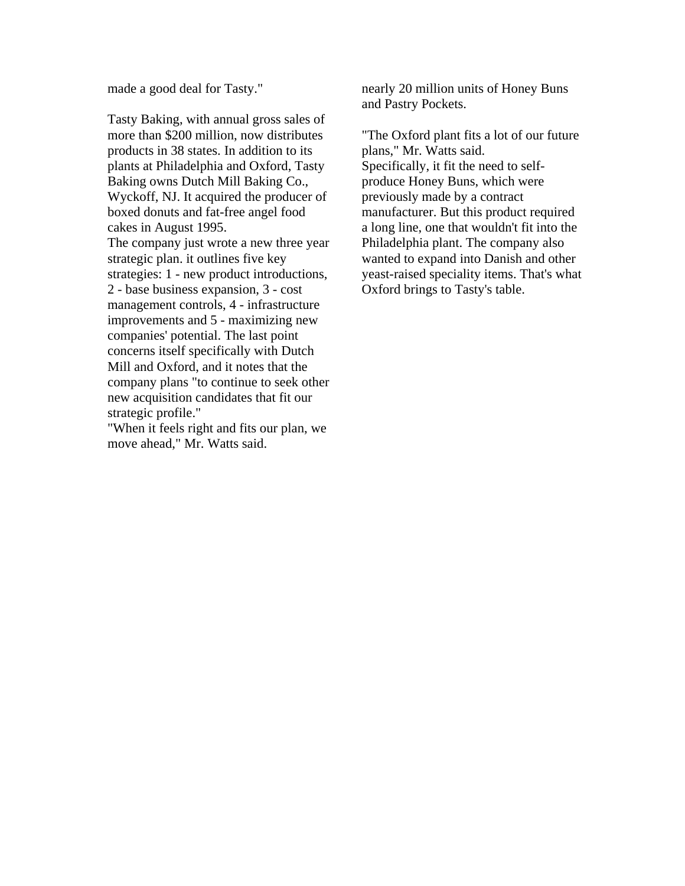made a good deal for Tasty."

Tasty Baking, with annual gross sales of more than \$200 million, now distributes products in 38 states. In addition to its plants at Philadelphia and Oxford, Tasty Baking owns Dutch Mill Baking Co., Wyckoff, NJ. It acquired the producer of boxed donuts and fat-free angel food cakes in August 1995. The company just wrote a new three year strategic plan. it outlines five key strategies: 1 - new product introductions, 2 - base business expansion, 3 - cost management controls, 4 - infrastructure improvements and 5 - maximizing new companies' potential. The last point concerns itself specifically with Dutch Mill and Oxford, and it notes that the company plans "to continue to seek other new acquisition candidates that fit our strategic profile."

"When it feels right and fits our plan, we move ahead," Mr. Watts said.

nearly 20 million units of Honey Buns and Pastry Pockets.

"The Oxford plant fits a lot of our future plans," Mr. Watts said. Specifically, it fit the need to selfproduce Honey Buns, which were previously made by a contract manufacturer. But this product required a long line, one that wouldn't fit into the Philadelphia plant. The company also wanted to expand into Danish and other yeast-raised speciality items. That's what Oxford brings to Tasty's table.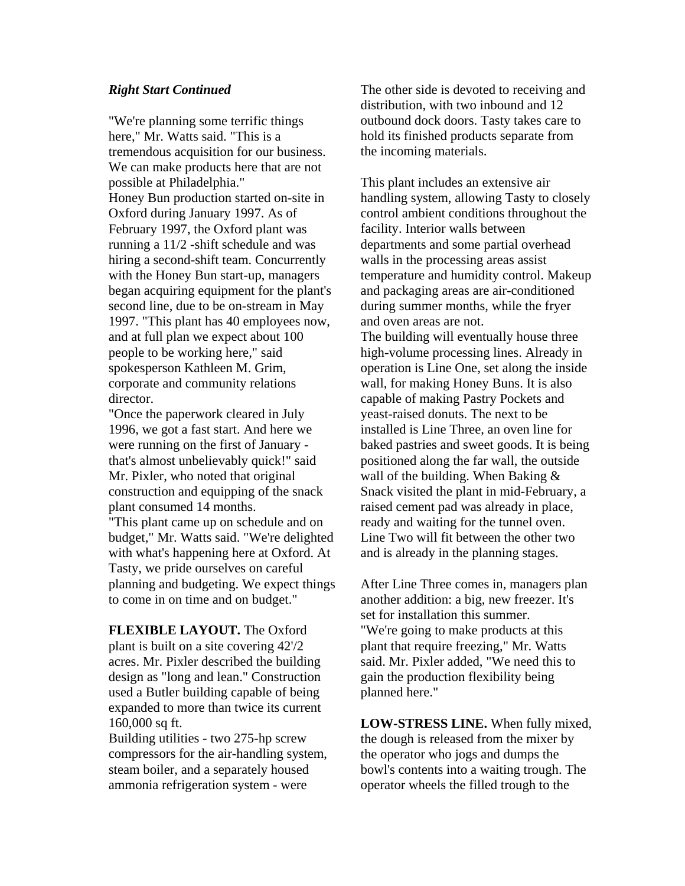## *Right Start Continued*

"We're planning some terrific things here," Mr. Watts said. "This is a tremendous acquisition for our business. We can make products here that are not possible at Philadelphia." Honey Bun production started on-site in Oxford during January 1997. As of February 1997, the Oxford plant was running a 11/2 -shift schedule and was hiring a second-shift team. Concurrently with the Honey Bun start-up, managers began acquiring equipment for the plant's second line, due to be on-stream in May 1997. "This plant has 40 employees now, and at full plan we expect about 100 people to be working here," said spokesperson Kathleen M. Grim, corporate and community relations director.

"Once the paperwork cleared in July 1996, we got a fast start. And here we were running on the first of January that's almost unbelievably quick!" said Mr. Pixler, who noted that original construction and equipping of the snack plant consumed 14 months.

"This plant came up on schedule and on budget," Mr. Watts said. "We're delighted with what's happening here at Oxford. At Tasty, we pride ourselves on careful planning and budgeting. We expect things to come in on time and on budget."

**FLEXIBLE LAYOUT.** The Oxford plant is built on a site covering 42'/2 acres. Mr. Pixler described the building design as "long and lean." Construction used a Butler building capable of being expanded to more than twice its current 160,000 sq ft.

Building utilities - two 275-hp screw compressors for the air-handling system, steam boiler, and a separately housed ammonia refrigeration system - were

The other side is devoted to receiving and distribution, with two inbound and 12 outbound dock doors. Tasty takes care to hold its finished products separate from the incoming materials.

This plant includes an extensive air handling system, allowing Tasty to closely control ambient conditions throughout the facility. Interior walls between departments and some partial overhead walls in the processing areas assist temperature and humidity control. Makeup and packaging areas are air-conditioned during summer months, while the fryer and oven areas are not.

The building will eventually house three high-volume processing lines. Already in operation is Line One, set along the inside wall, for making Honey Buns. It is also capable of making Pastry Pockets and yeast-raised donuts. The next to be installed is Line Three, an oven line for baked pastries and sweet goods. It is being positioned along the far wall, the outside wall of the building. When Baking & Snack visited the plant in mid-February, a raised cement pad was already in place, ready and waiting for the tunnel oven. Line Two will fit between the other two and is already in the planning stages.

After Line Three comes in, managers plan another addition: a big, new freezer. It's set for installation this summer. "We're going to make products at this plant that require freezing," Mr. Watts said. Mr. Pixler added, "We need this to gain the production flexibility being planned here."

**LOW-STRESS LINE.** When fully mixed, the dough is released from the mixer by the operator who jogs and dumps the bowl's contents into a waiting trough. The operator wheels the filled trough to the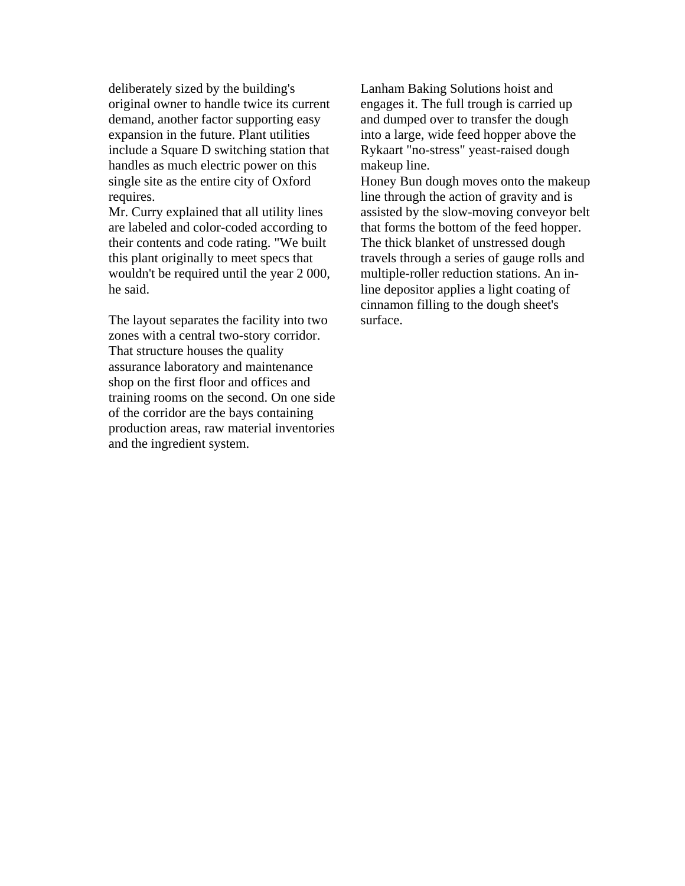deliberately sized by the building's original owner to handle twice its current demand, another factor supporting easy expansion in the future. Plant utilities include a Square D switching station that handles as much electric power on this single site as the entire city of Oxford requires.

Mr. Curry explained that all utility lines are labeled and color-coded according to their contents and code rating. "We built this plant originally to meet specs that wouldn't be required until the year 2 000, he said.

The layout separates the facility into two zones with a central two-story corridor. That structure houses the quality assurance laboratory and maintenance shop on the first floor and offices and training rooms on the second. On one side of the corridor are the bays containing production areas, raw material inventories and the ingredient system.

Lanham Baking Solutions hoist and engages it. The full trough is carried up and dumped over to transfer the dough into a large, wide feed hopper above the Rykaart "no-stress" yeast-raised dough makeup line.

Honey Bun dough moves onto the makeup line through the action of gravity and is assisted by the slow-moving conveyor belt that forms the bottom of the feed hopper. The thick blanket of unstressed dough travels through a series of gauge rolls and multiple-roller reduction stations. An inline depositor applies a light coating of cinnamon filling to the dough sheet's surface.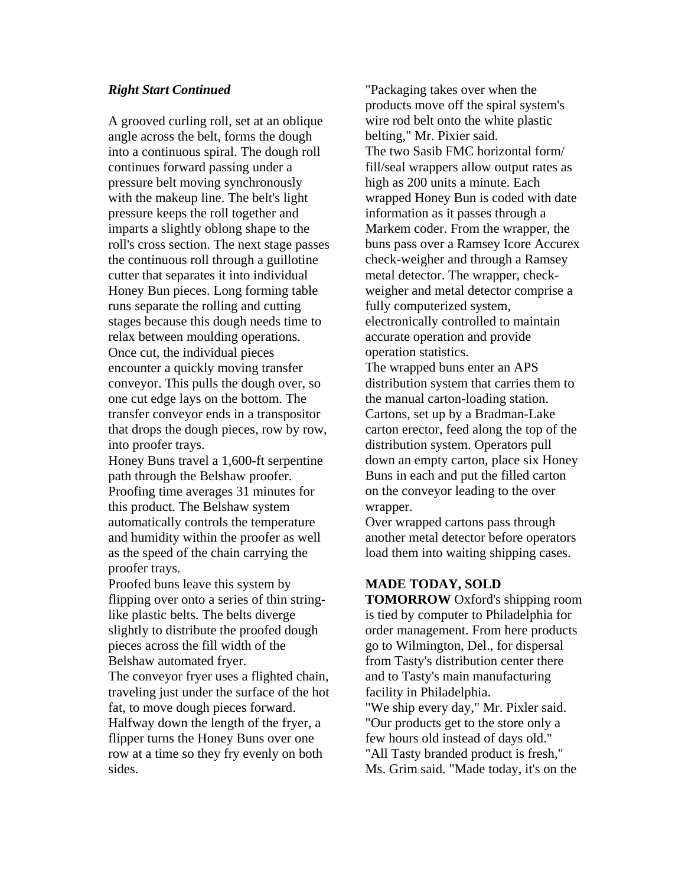## *Right Start Continued*

A grooved curling roll, set at an oblique angle across the belt, forms the dough into a continuous spiral. The dough roll continues forward passing under a pressure belt moving synchronously with the makeup line. The belt's light pressure keeps the roll together and imparts a slightly oblong shape to the roll's cross section. The next stage passes the continuous roll through a guillotine cutter that separates it into individual Honey Bun pieces. Long forming table runs separate the rolling and cutting stages because this dough needs time to relax between moulding operations. Once cut, the individual pieces encounter a quickly moving transfer conveyor. This pulls the dough over, so one cut edge lays on the bottom. The transfer conveyor ends in a transpositor that drops the dough pieces, row by row, into proofer trays.

Honey Buns travel a 1,600-ft serpentine path through the Belshaw proofer. Proofing time averages 31 minutes for this product. The Belshaw system automatically controls the temperature and humidity within the proofer as well as the speed of the chain carrying the proofer trays.

Proofed buns leave this system by flipping over onto a series of thin stringlike plastic belts. The belts diverge slightly to distribute the proofed dough pieces across the fill width of the Belshaw automated fryer.

The conveyor fryer uses a flighted chain, traveling just under the surface of the hot fat, to move dough pieces forward. Halfway down the length of the fryer, a flipper turns the Honey Buns over one row at a time so they fry evenly on both sides.

"Packaging takes over when the products move off the spiral system's wire rod belt onto the white plastic belting," Mr. Pixier said. The two Sasib FMC horizontal form/ fill/seal wrappers allow output rates as high as 200 units a minute. Each wrapped Honey Bun is coded with date information as it passes through a Markem coder. From the wrapper, the buns pass over a Ramsey Icore Accurex check-weigher and through a Ramsey metal detector. The wrapper, checkweigher and metal detector comprise a fully computerized system, electronically controlled to maintain accurate operation and provide operation statistics.

The wrapped buns enter an APS distribution system that carries them to the manual carton-loading station. Cartons, set up by a Bradman-Lake carton erector, feed along the top of the distribution system. Operators pull down an empty carton, place six Honey Buns in each and put the filled carton on the conveyor leading to the over wrapper.

Over wrapped cartons pass through another metal detector before operators load them into waiting shipping cases.

## **MADE TODAY, SOLD**

**TOMORROW** Oxford's shipping room is tied by computer to Philadelphia for order management. From here products go to Wilmington, Del., for dispersal from Tasty's distribution center there and to Tasty's main manufacturing facility in Philadelphia. "We ship every day," Mr. Pixler said. "Our products get to the store only a few hours old instead of days old." "All Tasty branded product is fresh," Ms. Grim said. "Made today, it's on the